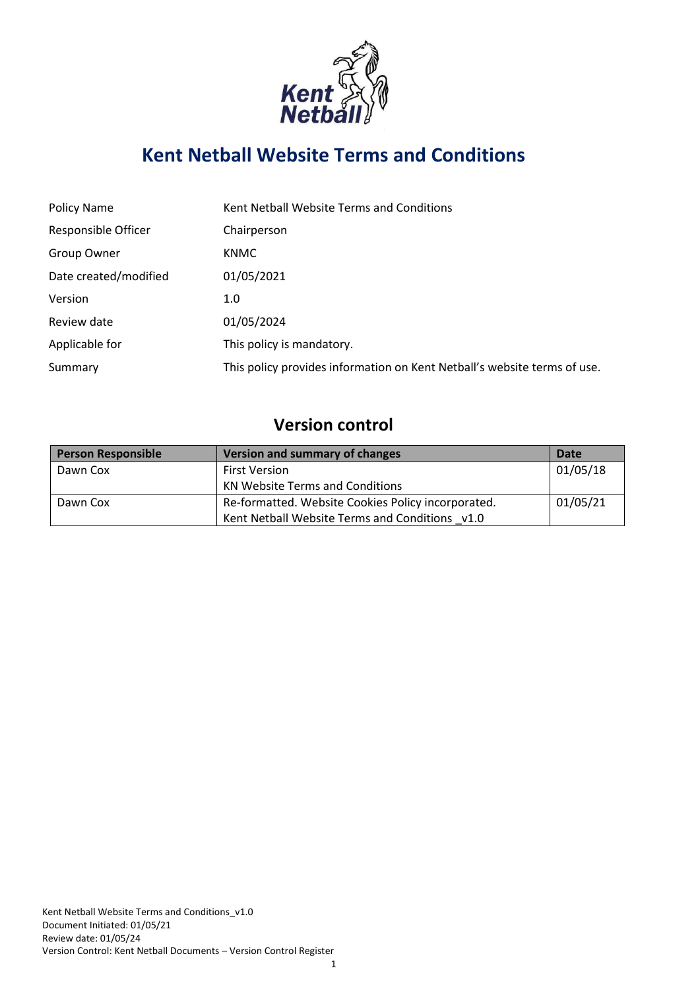

# **Kent Netball Website Terms and Conditions**

| <b>Policy Name</b>         | Kent Netball Website Terms and Conditions                                |
|----------------------------|--------------------------------------------------------------------------|
| <b>Responsible Officer</b> | Chairperson                                                              |
| Group Owner                | <b>KNMC</b>                                                              |
| Date created/modified      | 01/05/2021                                                               |
| Version                    | 1.0                                                                      |
| Review date                | 01/05/2024                                                               |
| Applicable for             | This policy is mandatory.                                                |
| Summary                    | This policy provides information on Kent Netball's website terms of use. |

## **Version control**

| <b>Person Responsible</b> | <b>Version and summary of changes</b>              | Date     |
|---------------------------|----------------------------------------------------|----------|
| Dawn Cox                  | <b>First Version</b>                               | 01/05/18 |
|                           | KN Website Terms and Conditions                    |          |
| Dawn Cox                  | Re-formatted. Website Cookies Policy incorporated. | 01/05/21 |
|                           | Kent Netball Website Terms and Conditions v1.0     |          |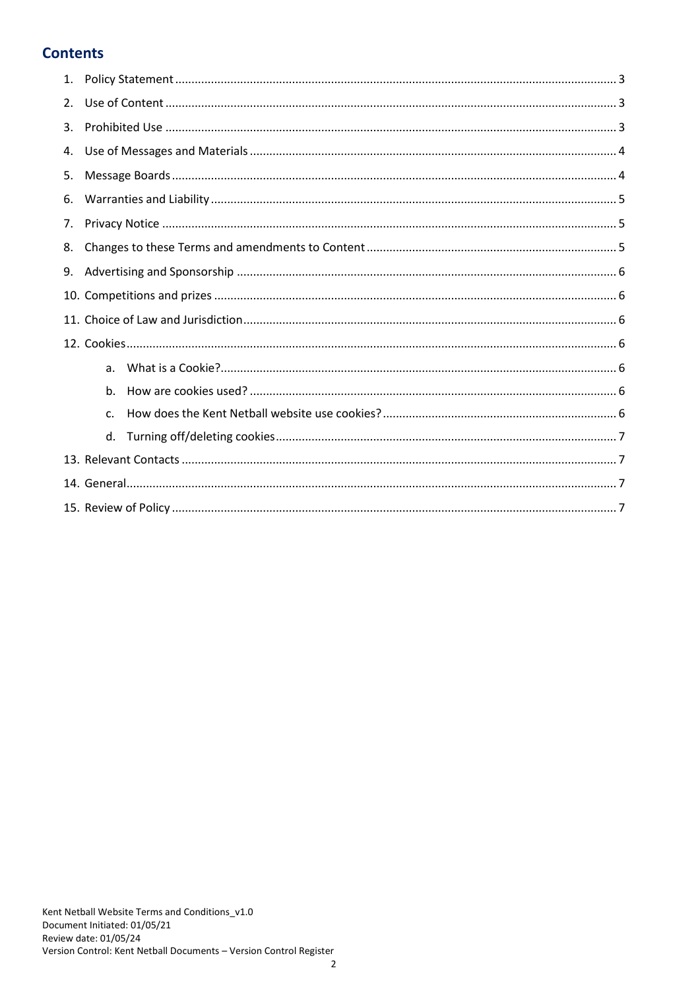## **Contents**

| 2. |    |  |  |
|----|----|--|--|
| 3. |    |  |  |
| 4. |    |  |  |
| 5. |    |  |  |
| 6. |    |  |  |
| 7. |    |  |  |
| 8. |    |  |  |
| 9. |    |  |  |
|    |    |  |  |
|    |    |  |  |
|    |    |  |  |
|    | a. |  |  |
|    | b. |  |  |
|    | c. |  |  |
|    | d. |  |  |
|    |    |  |  |
|    |    |  |  |
|    |    |  |  |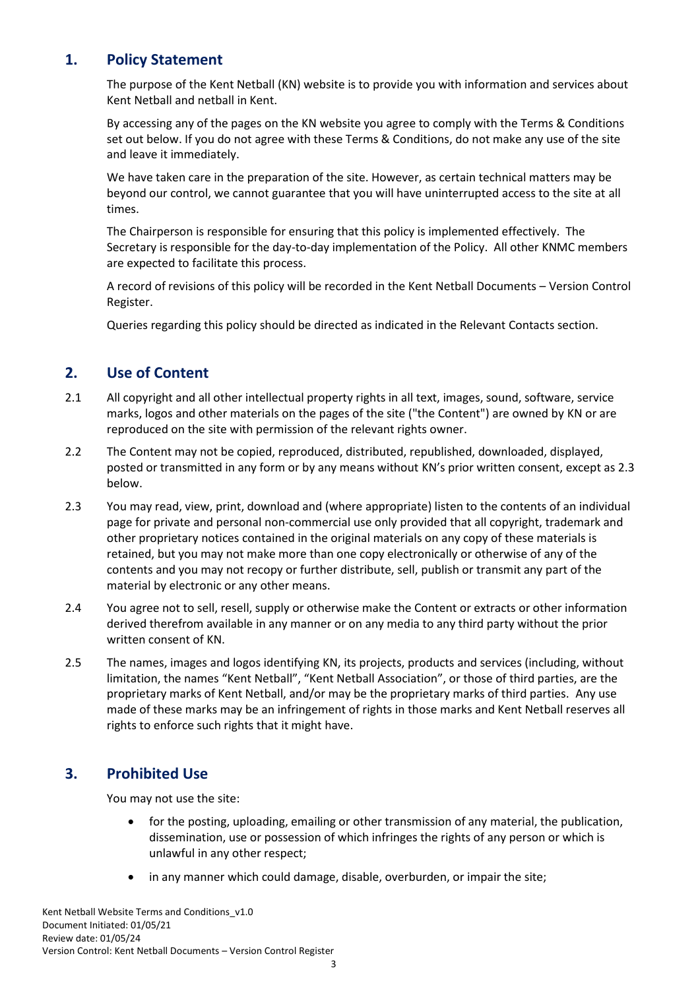## **1. Policy Statement**

<span id="page-2-0"></span>The purpose of the Kent Netball (KN) website is to provide you with information and services about Kent Netball and netball in Kent.

By accessing any of the pages on the KN website you agree to comply with the Terms & Conditions set out below. If you do not agree with these Terms & Conditions, do not make any use of the site and leave it immediately.

We have taken care in the preparation of the site. However, as certain technical matters may be beyond our control, we cannot guarantee that you will have uninterrupted access to the site at all times.

The Chairperson is responsible for ensuring that this policy is implemented effectively. The Secretary is responsible for the day-to-day implementation of the Policy. All other KNMC members are expected to facilitate this process.

A record of revisions of this policy will be recorded in the Kent Netball Documents – Version Control Register.

<span id="page-2-1"></span>Queries regarding this policy should be directed as indicated in the Relevant Contacts section.

#### **2. Use of Content**

- 2.1 All copyright and all other intellectual property rights in all text, images, sound, software, service marks, logos and other materials on the pages of the site ("the Content") are owned by KN or are reproduced on the site with permission of the relevant rights owner.
- 2.2 The Content may not be copied, reproduced, distributed, republished, downloaded, displayed, posted or transmitted in any form or by any means without KN's prior written consent, except as 2.3 below.
- 2.3 You may read, view, print, download and (where appropriate) listen to the contents of an individual page for private and personal non-commercial use only provided that all copyright, trademark and other proprietary notices contained in the original materials on any copy of these materials is retained, but you may not make more than one copy electronically or otherwise of any of the contents and you may not recopy or further distribute, sell, publish or transmit any part of the material by electronic or any other means.
- 2.4 You agree not to sell, resell, supply or otherwise make the Content or extracts or other information derived therefrom available in any manner or on any media to any third party without the prior written consent of KN.
- 2.5 The names, images and logos identifying KN, its projects, products and services (including, without limitation, the names "Kent Netball", "Kent Netball Association", or those of third parties, are the proprietary marks of Kent Netball, and/or may be the proprietary marks of third parties. Any use made of these marks may be an infringement of rights in those marks and Kent Netball reserves all rights to enforce such rights that it might have.

## **3. Prohibited Use**

<span id="page-2-2"></span>You may not use the site:

- for the posting, uploading, emailing or other transmission of any material, the publication, dissemination, use or possession of which infringes the rights of any person or which is unlawful in any other respect;
- in any manner which could damage, disable, overburden, or impair the site;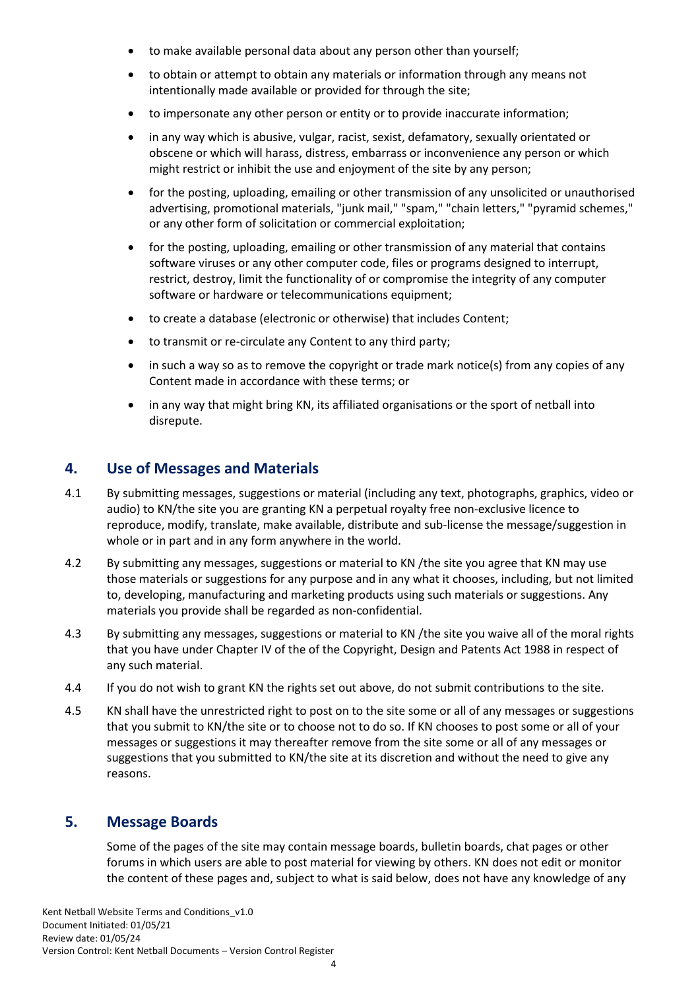- to make available personal data about any person other than yourself;
- to obtain or attempt to obtain any materials or information through any means not intentionally made available or provided for through the site;
- to impersonate any other person or entity or to provide inaccurate information;
- in any way which is abusive, vulgar, racist, sexist, defamatory, sexually orientated or obscene or which will harass, distress, embarrass or inconvenience any person or which might restrict or inhibit the use and enjoyment of the site by any person;
- for the posting, uploading, emailing or other transmission of any unsolicited or unauthorised advertising, promotional materials, "junk mail," "spam," "chain letters," "pyramid schemes," or any other form of solicitation or commercial exploitation;
- for the posting, uploading, emailing or other transmission of any material that contains software viruses or any other computer code, files or programs designed to interrupt, restrict, destroy, limit the functionality of or compromise the integrity of any computer software or hardware or telecommunications equipment;
- to create a database (electronic or otherwise) that includes Content;
- to transmit or re-circulate any Content to any third party;
- in such a way so as to remove the copyright or trade mark notice(s) from any copies of any Content made in accordance with these terms; or
- in any way that might bring KN, its affiliated organisations or the sport of netball into disrepute.

#### <span id="page-3-0"></span>**4. Use of Messages and Materials**

- 4.1 By submitting messages, suggestions or material (including any text, photographs, graphics, video or audio) to KN/the site you are granting KN a perpetual royalty free non-exclusive licence to reproduce, modify, translate, make available, distribute and sub-license the message/suggestion in whole or in part and in any form anywhere in the world.
- 4.2 By submitting any messages, suggestions or material to KN /the site you agree that KN may use those materials or suggestions for any purpose and in any what it chooses, including, but not limited to, developing, manufacturing and marketing products using such materials or suggestions. Any materials you provide shall be regarded as non-confidential.
- 4.3 By submitting any messages, suggestions or material to KN / the site you waive all of the moral rights that you have under Chapter IV of the of the Copyright, Design and Patents Act 1988 in respect of any such material.
- 4.4 If you do not wish to grant KN the rights set out above, do not submit contributions to the site.
- 4.5 KN shall have the unrestricted right to post on to the site some or all of any messages or suggestions that you submit to KN/the site or to choose not to do so. If KN chooses to post some or all of your messages or suggestions it may thereafter remove from the site some or all of any messages or suggestions that you submitted to KN/the site at its discretion and without the need to give any reasons.

## **5. Message Boards**

<span id="page-3-1"></span>Some of the pages of the site may contain message boards, bulletin boards, chat pages or other forums in which users are able to post material for viewing by others. KN does not edit or monitor the content of these pages and, subject to what is said below, does not have any knowledge of any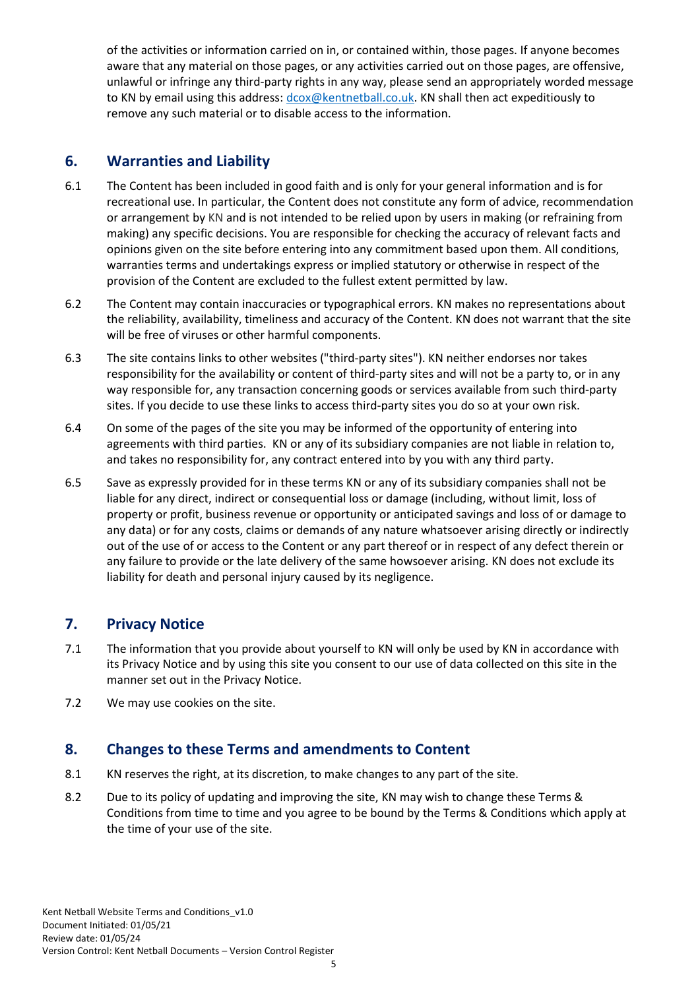of the activities or information carried on in, or contained within, those pages. If anyone becomes aware that any material on those pages, or any activities carried out on those pages, are offensive, unlawful or infringe any third-party rights in any way, please send an appropriately worded message to KN by email using this address:  $d\cos(\omega)$  entractionall.co.uk. KN shall then act expeditiously to remove any such material or to disable access to the information.

## <span id="page-4-0"></span>**6. Warranties and Liability**

- 6.1 The Content has been included in good faith and is only for your general information and is for recreational use. In particular, the Content does not constitute any form of advice, recommendation or arrangement by KN and is not intended to be relied upon by users in making (or refraining from making) any specific decisions. You are responsible for checking the accuracy of relevant facts and opinions given on the site before entering into any commitment based upon them. All conditions, warranties terms and undertakings express or implied statutory or otherwise in respect of the provision of the Content are excluded to the fullest extent permitted by law.
- 6.2 The Content may contain inaccuracies or typographical errors. KN makes no representations about the reliability, availability, timeliness and accuracy of the Content. KN does not warrant that the site will be free of viruses or other harmful components.
- 6.3 The site contains links to other websites ("third-party sites"). KN neither endorses nor takes responsibility for the availability or content of third-party sites and will not be a party to, or in any way responsible for, any transaction concerning goods or services available from such third-party sites. If you decide to use these links to access third-party sites you do so at your own risk.
- 6.4 On some of the pages of the site you may be informed of the opportunity of entering into agreements with third parties. KN or any of its subsidiary companies are not liable in relation to, and takes no responsibility for, any contract entered into by you with any third party.
- 6.5 Save as expressly provided for in these terms KN or any of its subsidiary companies shall not be liable for any direct, indirect or consequential loss or damage (including, without limit, loss of property or profit, business revenue or opportunity or anticipated savings and loss of or damage to any data) or for any costs, claims or demands of any nature whatsoever arising directly or indirectly out of the use of or access to the Content or any part thereof or in respect of any defect therein or any failure to provide or the late delivery of the same howsoever arising. KN does not exclude its liability for death and personal injury caused by its negligence.

## <span id="page-4-1"></span>**7. Privacy Notice**

- 7.1 The information that you provide about yourself to KN will only be used by KN in accordance with its Privacy Notice and by using this site you consent to our use of data collected on this site in the manner set out in the Privacy Notice.
- 7.2 We may use cookies on the site.

## <span id="page-4-2"></span>**8. Changes to these Terms and amendments to Content**

- 8.1 KN reserves the right, at its discretion, to make changes to any part of the site.
- 8.2 Due to its policy of updating and improving the site, KN may wish to change these Terms & Conditions from time to time and you agree to be bound by the Terms & Conditions which apply at the time of your use of the site.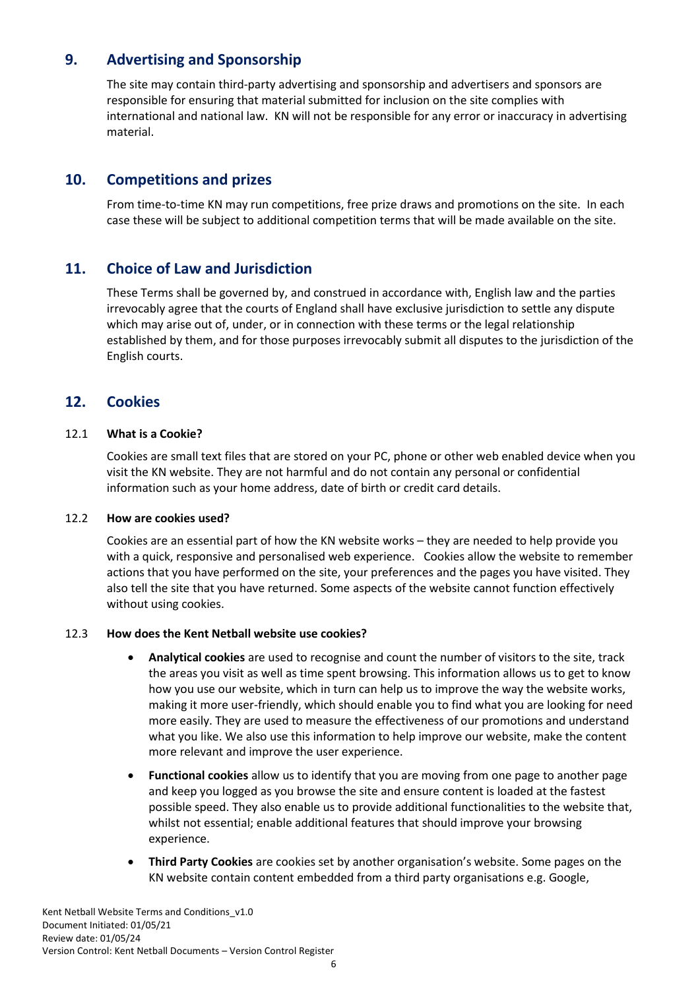## **9. Advertising and Sponsorship**

<span id="page-5-0"></span>The site may contain third-party advertising and sponsorship and advertisers and sponsors are responsible for ensuring that material submitted for inclusion on the site complies with international and national law. KN will not be responsible for any error or inaccuracy in advertising material.

#### **10. Competitions and prizes**

<span id="page-5-1"></span>From time-to-time KN may run competitions, free prize draws and promotions on the site. In each case these will be subject to additional competition terms that will be made available on the site.

## **11. Choice of Law and Jurisdiction**

<span id="page-5-2"></span>These Terms shall be governed by, and construed in accordance with, English law and the parties irrevocably agree that the courts of England shall have exclusive jurisdiction to settle any dispute which may arise out of, under, or in connection with these terms or the legal relationship established by them, and for those purposes irrevocably submit all disputes to the jurisdiction of the English courts.

## <span id="page-5-3"></span>**12. Cookies**

#### 12.1 **What is a Cookie?**

<span id="page-5-4"></span>Cookies are small text files that are stored on your PC, phone or other web enabled device when you visit the KN website. They are not harmful and do not contain any personal or confidential information such as your home address, date of birth or credit card details.

#### 12.2 **How are cookies used?**

<span id="page-5-5"></span>Cookies are an essential part of how the KN website works – they are needed to help provide you with a quick, responsive and personalised web experience. Cookies allow the website to remember actions that you have performed on the site, your preferences and the pages you have visited. They also tell the site that you have returned. Some aspects of the website cannot function effectively without using cookies.

#### <span id="page-5-6"></span>12.3 **How does the Kent Netball website use cookies?**

- **Analytical cookies** are used to recognise and count the number of visitors to the site, track the areas you visit as well as time spent browsing. This information allows us to get to know how you use our website, which in turn can help us to improve the way the website works, making it more user-friendly, which should enable you to find what you are looking for need more easily. They are used to measure the effectiveness of our promotions and understand what you like. We also use this information to help improve our website, make the content more relevant and improve the user experience.
- **Functional cookies** allow us to identify that you are moving from one page to another page and keep you logged as you browse the site and ensure content is loaded at the fastest possible speed. They also enable us to provide additional functionalities to the website that, whilst not essential; enable additional features that should improve your browsing experience.
- **Third Party Cookies** are cookies set by another organisation's website. Some pages on the KN website contain content embedded from a third party organisations e.g. Google,